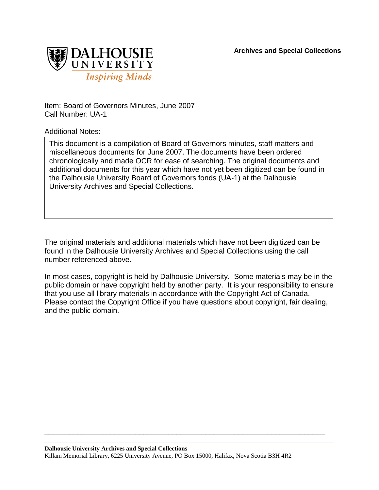**Archives and Special Collections**



Item: Board of Governors Minutes, June 2007 Call Number: UA-1

Additional Notes:

This document is a compilation of Board of Governors minutes, staff matters and miscellaneous documents for June 2007. The documents have been ordered chronologically and made OCR for ease of searching. The original documents and additional documents for this year which have not yet been digitized can be found in the Dalhousie University Board of Governors fonds (UA-1) at the Dalhousie University Archives and Special Collections.

The original materials and additional materials which have not been digitized can be found in the Dalhousie University Archives and Special Collections using the call number referenced above.

In most cases, copyright is held by Dalhousie University. Some materials may be in the public domain or have copyright held by another party. It is your responsibility to ensure that you use all library materials in accordance with the Copyright Act of Canada. Please contact the Copyright Office if you have questions about copyright, fair dealing, and the public domain.

\_\_\_\_\_\_\_\_\_\_\_\_\_\_\_\_\_\_\_\_\_\_\_\_\_\_\_\_\_\_\_\_\_\_\_\_\_\_\_\_\_\_\_\_\_\_\_\_\_\_\_\_\_\_\_\_\_\_\_\_\_\_\_\_\_\_\_\_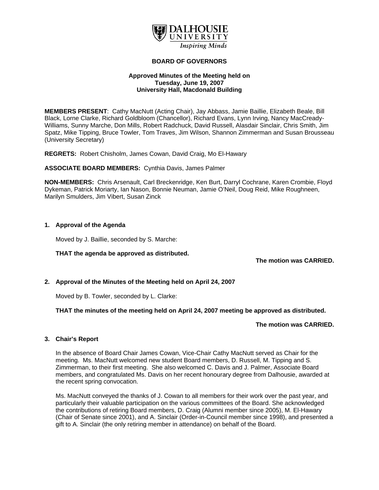

#### **BOARD OF GOVERNORS**

## **Approved Minutes of the Meeting held on Tuesday, June 19, 2007 University Hall, Macdonald Building**

**MEMBERS PRESENT**: Cathy MacNutt (Acting Chair), Jay Abbass, Jamie Baillie, Elizabeth Beale, Bill Black, Lorne Clarke, Richard Goldbloom (Chancellor), Richard Evans, Lynn Irving, Nancy MacCready-Williams, Sunny Marche, Don Mills, Robert Radchuck, David Russell, Alasdair Sinclair, Chris Smith, Jim Spatz, Mike Tipping, Bruce Towler, Tom Traves, Jim Wilson, Shannon Zimmerman and Susan Brousseau (University Secretary)

**REGRETS:** Robert Chisholm, James Cowan, David Craig, Mo El-Hawary

**ASSOCIATE BOARD MEMBERS:** Cynthia Davis, James Palmer

**NON-MEMBERS:** Chris Arsenault, Carl Breckenridge, Ken Burt, Darryl Cochrane, Karen Crombie, Floyd Dykeman, Patrick Moriarty, Ian Nason, Bonnie Neuman, Jamie O'Neil, Doug Reid, Mike Roughneen, Marilyn Smulders, Jim Vibert, Susan Zinck

## **1. Approval of the Agenda**

Moved by J. Baillie, seconded by S. Marche:

## **THAT the agenda be approved as distributed.**

**The motion was CARRIED.** 

## **2. Approval of the Minutes of the Meeting held on April 24, 2007**

Moved by B. Towler, seconded by L. Clarke:

## **THAT the minutes of the meeting held on April 24, 2007 meeting be approved as distributed.**

#### **The motion was CARRIED.**

## **3. Chair's Report**

In the absence of Board Chair James Cowan, Vice-Chair Cathy MacNutt served as Chair for the meeting. Ms. MacNutt welcomed new student Board members, D. Russell, M. Tipping and S. Zimmerman, to their first meeting. She also welcomed C. Davis and J. Palmer, Associate Board members, and congratulated Ms. Davis on her recent honourary degree from Dalhousie, awarded at the recent spring convocation.

Ms. MacNutt conveyed the thanks of J. Cowan to all members for their work over the past year, and particularly their valuable participation on the various committees of the Board. She acknowledged the contributions of retiring Board members, D. Craig (Alumni member since 2005), M. El-Hawary (Chair of Senate since 2001), and A. Sinclair (Order-in-Council member since 1998), and presented a gift to A. Sinclair (the only retiring member in attendance) on behalf of the Board.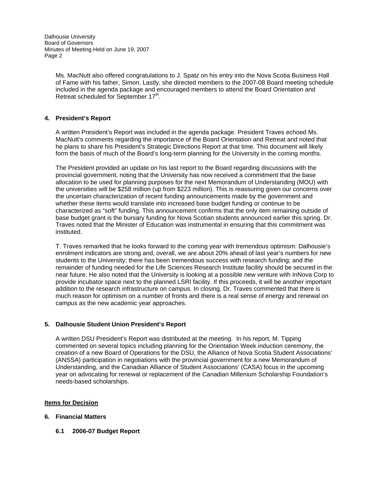> Ms. MacNutt also offered congratulations to J. Spatz on his entry into the Nova Scotia Business Hall of Fame with his father, Simon. Lastly, she directed members to the 2007-08 Board meeting schedule included in the agenda package and encouraged members to attend the Board Orientation and Retreat scheduled for September 17<sup>th</sup>.

# **4. President's Report**

A written President's Report was included in the agenda package. President Traves echoed Ms. MacNutt's comments regarding the importance of the Board Orientation and Retreat and noted that he plans to share his President's Strategic Directions Report at that time. This document will likely form the basis of much of the Board's long-term planning for the University in the coming months.

The President provided an update on his last report to the Board regarding discussions with the provincial government, noting that the University has now received a commitment that the base allocation to be used for planning purposes for the next Memorandum of Understanding (MOU) with the universities will be \$258 million (up from \$223 million). This is reassuring given our concerns over the uncertain characterization of recent funding announcements made by the government and whether these items would translate into increased base budget funding or continue to be characterized as "soft" funding. This announcement confirms that the only item remaining outside of base budget grant is the bursary funding for Nova Scotian students announced earlier this spring. Dr. Traves noted that the Minister of Education was instrumental in ensuring that this commitment was instituted.

T. Traves remarked that he looks forward to the coming year with tremendous optimism: Dalhousie's enrolment indicators are strong and, overall, we are about 20% ahead of last year's numbers for new students to the University; there has been tremendous success with research funding; and the remainder of funding needed for the Life Sciences Research Institute facility should be secured in the near future. He also noted that the University is looking at a possible new venture with InNova Corp to provide incubator space next to the planned LSRI facility. If this proceeds, it will be another important addition to the research infrastructure on campus. In closing, Dr. Traves commented that there is much reason for optimism on a number of fronts and there is a real sense of energy and renewal on campus as the new academic year approaches.

## **5. Dalhousie Student Union President's Report**

A written DSU President's Report was distributed at the meeting. In his report, M. Tipping commented on several topics including planning for the Orientation Week induction ceremony, the creation of a new Board of Operations for the DSU, the Alliance of Nova Scotia Student Associations' (ANSSA) participation in negotiations with the provincial government for a new Memorandum of Understanding, and the Canadian Alliance of Student Associations' (CASA) focus in the upcoming year on advocating for renewal or replacement of the Canadian Millenium Scholarship Foundation's needs-based scholarships.

## **Items for Decision**

## **6. Financial Matters**

**6.1 2006-07 Budget Report**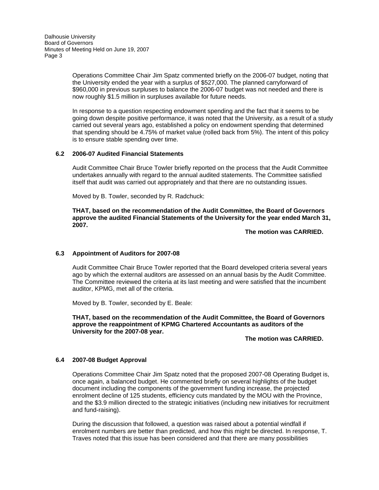> Operations Committee Chair Jim Spatz commented briefly on the 2006-07 budget, noting that the University ended the year with a surplus of \$527,000. The planned carryforward of \$960,000 in previous surpluses to balance the 2006-07 budget was not needed and there is now roughly \$1.5 million in surpluses available for future needs.

In response to a question respecting endowment spending and the fact that it seems to be going down despite positive performance, it was noted that the University, as a result of a study carried out several years ago, established a policy on endowment spending that determined that spending should be 4.75% of market value (rolled back from 5%). The intent of this policy is to ensure stable spending over time.

## **6.2 2006-07 Audited Financial Statements**

Audit Committee Chair Bruce Towler briefly reported on the process that the Audit Committee undertakes annually with regard to the annual audited statements. The Committee satisfied itself that audit was carried out appropriately and that there are no outstanding issues.

Moved by B. Towler, seconded by R. Radchuck:

 **THAT, based on the recommendation of the Audit Committee, the Board of Governors approve the audited Financial Statements of the University for the year ended March 31, 2007.** 

 **The motion was CARRIED.** 

## **6.3 Appointment of Auditors for 2007-08**

Audit Committee Chair Bruce Towler reported that the Board developed criteria several years ago by which the external auditors are assessed on an annual basis by the Audit Committee. The Committee reviewed the criteria at its last meeting and were satisfied that the incumbent auditor, KPMG, met all of the criteria.

Moved by B. Towler, seconded by E. Beale:

 **THAT, based on the recommendation of the Audit Committee, the Board of Governors approve the reappointment of KPMG Chartered Accountants as auditors of the University for the 2007-08 year.** 

 **The motion was CARRIED.** 

## **6.4 2007-08 Budget Approval**

Operations Committee Chair Jim Spatz noted that the proposed 2007-08 Operating Budget is, once again, a balanced budget. He commented briefly on several highlights of the budget document including the components of the government funding increase, the projected enrolment decline of 125 students, efficiency cuts mandated by the MOU with the Province, and the \$3.9 million directed to the strategic initiatives (including new initiatives for recruitment and fund-raising).

During the discussion that followed, a question was raised about a potential windfall if enrolment numbers are better than predicted, and how this might be directed. In response, T. Traves noted that this issue has been considered and that there are many possibilities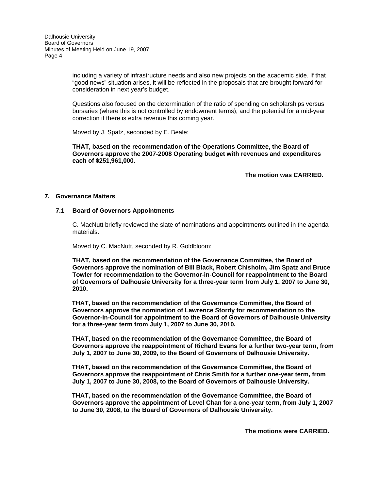including a variety of infrastructure needs and also new projects on the academic side. If that "good news" situation arises, it will be reflected in the proposals that are brought forward for consideration in next year's budget.

Questions also focused on the determination of the ratio of spending on scholarships versus bursaries (where this is not controlled by endowment terms), and the potential for a mid-year correction if there is extra revenue this coming year.

Moved by J. Spatz, seconded by E. Beale:

 **THAT, based on the recommendation of the Operations Committee, the Board of Governors approve the 2007-2008 Operating budget with revenues and expenditures each of \$251,961,000.** 

 **The motion was CARRIED.** 

## **7. Governance Matters**

## **7.1 Board of Governors Appointments**

C. MacNutt briefly reviewed the slate of nominations and appointments outlined in the agenda materials.

Moved by C. MacNutt, seconded by R. Goldbloom:

 **THAT, based on the recommendation of the Governance Committee, the Board of Governors approve the nomination of Bill Black, Robert Chisholm, Jim Spatz and Bruce Towler for recommendation to the Governor-in-Council for reappointment to the Board of Governors of Dalhousie University for a three-year term from July 1, 2007 to June 30, 2010.** 

 **THAT, based on the recommendation of the Governance Committee, the Board of Governors approve the nomination of Lawrence Stordy for recommendation to the Governor-in-Council for appointment to the Board of Governors of Dalhousie University for a three-year term from July 1, 2007 to June 30, 2010.** 

 **THAT, based on the recommendation of the Governance Committee, the Board of Governors approve the reappointment of Richard Evans for a further two-year term, from July 1, 2007 to June 30, 2009, to the Board of Governors of Dalhousie University.** 

 **THAT, based on the recommendation of the Governance Committee, the Board of Governors approve the reappointment of Chris Smith for a further one-year term, from July 1, 2007 to June 30, 2008, to the Board of Governors of Dalhousie University.** 

 **THAT, based on the recommendation of the Governance Committee, the Board of Governors approve the appointment of Level Chan for a one-year term, from July 1, 2007 to June 30, 2008, to the Board of Governors of Dalhousie University.** 

**The motions were CARRIED.**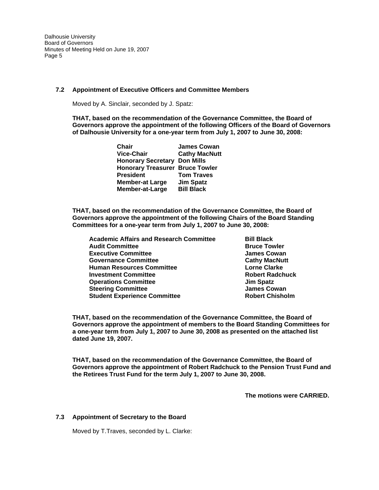## **7.2 Appointment of Executive Officers and Committee Members**

Moved by A. Sinclair, seconded by J. Spatz:

 **THAT, based on the recommendation of the Governance Committee, the Board of Governors approve the appointment of the following Officers of the Board of Governors of Dalhousie University for a one-year term from July 1, 2007 to June 30, 2008:** 

| Chair                                  | <b>James Cowan</b>   |
|----------------------------------------|----------------------|
| <b>Vice-Chair</b>                      | <b>Cathy MacNutt</b> |
| <b>Honorary Secretary</b>              | <b>Don Mills</b>     |
| <b>Honorary Treasurer Bruce Towler</b> |                      |
| <b>President</b>                       | <b>Tom Traves</b>    |
| <b>Member-at Large</b>                 | <b>Jim Spatz</b>     |
| Member-at-Large                        | <b>Bill Black</b>    |
|                                        |                      |

**THAT, based on the recommendation of the Governance Committee, the Board of Governors approve the appointment of the following Chairs of the Board Standing Committees for a one-year term from July 1, 2007 to June 30, 2008:** 

| <b>Academic Affairs and Research Committee</b> |
|------------------------------------------------|
| <b>Audit Committee</b>                         |
| <b>Executive Committee</b>                     |
| <b>Governance Committee</b>                    |
| <b>Human Resources Committee</b>               |
| <b>Investment Committee</b>                    |
| <b>Operations Committee</b>                    |
| <b>Steering Committee</b>                      |
| <b>Student Experience Committee</b>            |

**Bill Black Bruce Towler James Cowan Cathy MacNutt Lorne Clarke Robert Radchuck Jim Spatz James Cowan Robert Chisholm** 

 **THAT, based on the recommendation of the Governance Committee, the Board of Governors approve the appointment of members to the Board Standing Committees for a one-year term from July 1, 2007 to June 30, 2008 as presented on the attached list dated June 19, 2007.** 

 **THAT, based on the recommendation of the Governance Committee, the Board of Governors approve the appointment of Robert Radchuck to the Pension Trust Fund and the Retirees Trust Fund for the term July 1, 2007 to June 30, 2008.** 

**The motions were CARRIED.** 

## **7.3 Appointment of Secretary to the Board**

Moved by T.Traves, seconded by L. Clarke: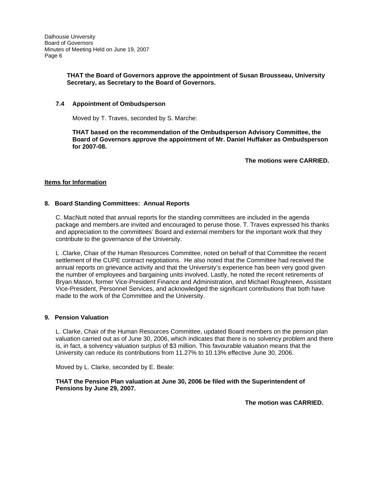# **THAT the Board of Governors approve the appointment of Susan Brousseau, University Secretary, as Secretary to the Board of Governors.**

# **7.4 Appointment of Ombudsperson**

Moved by T. Traves, seconded by S. Marche:

**THAT based on the recommendation of the Ombudsperson Advisory Committee, the Board of Governors approve the appointment of Mr. Daniel Huffaker as Ombudsperson for 2007-08.** 

**The motions were CARRIED.** 

## **Items for Information**

## **8. Board Standing Committees: Annual Reports**

C. MacNutt noted that annual reports for the standing committees are included in the agenda package and members are invited and encouraged to peruse those. T. Traves expressed his thanks and appreciation to the committees' Board and external members for the important work that they contribute to the governance of the University.

L .Clarke, Chair of the Human Resources Committee, noted on behalf of that Committee the recent settlement of the CUPE contract negotiations. He also noted that the Committee had received the annual reports on grievance activity and that the University's experience has been very good given the number of employees and bargaining units involved. Lastly, he noted the recent retirements of Bryan Mason, former Vice-President Finance and Administration, and Michael Roughneen, Assistant Vice-President, Personnel Services, and acknowledged the significant contributions that both have made to the work of the Committee and the University.

## **9. Pension Valuation**

L. Clarke, Chair of the Human Resources Committee, updated Board members on the pension plan valuation carried out as of June 30, 2006, which indicates that there is no solvency problem and there is, in fact, a solvency valuation surplus of \$3 million. This favourable valuation means that the University can reduce its contributions from 11.27% to 10.13% effective June 30, 2006.

Moved by L. Clarke, seconded by E. Beale:

**THAT the Pension Plan valuation at June 30, 2006 be filed with the Superintendent of Pensions by June 29, 2007.** 

 **The motion was CARRIED.**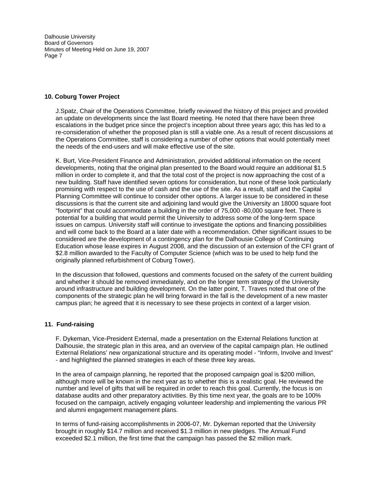## **10. Coburg Tower Project**

J.Spatz, Chair of the Operations Committee, briefly reviewed the history of this project and provided an update on developments since the last Board meeting. He noted that there have been three escalations in the budget price since the project's inception about three years ago; this has led to a re-consideration of whether the proposed plan is still a viable one. As a result of recent discussions at the Operations Committee, staff is considering a number of other options that would potentially meet the needs of the end-users and will make effective use of the site.

K. Burt, Vice-President Finance and Administration, provided additional information on the recent developments, noting that the original plan presented to the Board would require an additional \$1.5 million in order to complete it, and that the total cost of the project is now approaching the cost of a new building. Staff have identified seven options for consideration, but none of these look particularly promising with respect to the use of cash and the use of the site. As a result, staff and the Capital Planning Committee will continue to consider other options. A larger issue to be considered in these discussions is that the current site and adjoining land would give the University an 18000 square foot "footprint" that could accommodate a building in the order of 75,000 -80,000 square feet. There is potential for a building that would permit the University to address some of the long-term space issues on campus. University staff will continue to investigate the options and financing possibilities and will come back to the Board at a later date with a recommendation. Other significant issues to be considered are the development of a contingency plan for the Dalhousie College of Continuing Education whose lease expires in August 2008, and the discussion of an extension of the CFI grant of \$2.8 million awarded to the Faculty of Computer Science (which was to be used to help fund the originally planned refurbishment of Coburg Tower).

In the discussion that followed, questions and comments focused on the safety of the current building and whether it should be removed immediately, and on the longer term strategy of the University around infrastructure and building development. On the latter point, T. Traves noted that one of the components of the strategic plan he will bring forward in the fall is the development of a new master campus plan; he agreed that it is necessary to see these projects in context of a larger vision.

## **11. Fund-raising**

F. Dykeman, Vice-President External, made a presentation on the External Relations function at Dalhousie, the strategic plan in this area, and an overview of the capital campaign plan. He outlined External Relations' new organizational structure and its operating model - "Inform, Involve and Invest" - and highlighted the planned strategies in each of these three key areas.

In the area of campaign planning, he reported that the proposed campaign goal is \$200 million, although more will be known in the next year as to whether this is a realistic goal. He reviewed the number and level of gifts that will be required in order to reach this goal. Currently, the focus is on database audits and other preparatory activities. By this time next year, the goals are to be 100% focused on the campaign, actively engaging volunteer leadership and implementing the various PR and alumni engagement management plans.

In terms of fund-raising accomplishments in 2006-07, Mr. Dykeman reported that the University brought in roughly \$14.7 million and received \$1.3 million in new pledges. The Annual Fund exceeded \$2.1 million, the first time that the campaign has passed the \$2 million mark.